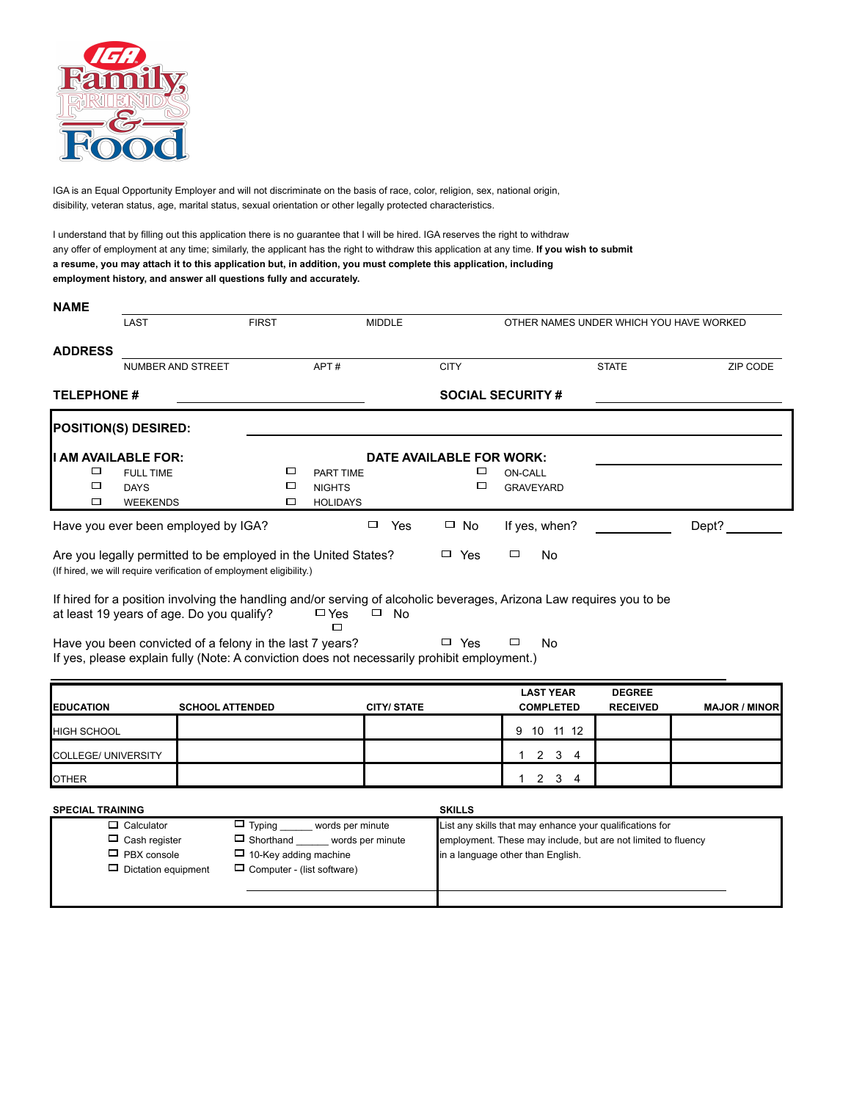

IGA is an Equal Opportunity Employer and will not discriminate on the basis of race, color, religion, sex, national origin, disibility, veteran status, age, marital status, sexual orientation or other legally protected characteristics.

 $\Box$  Dictation equipment  $\Box$  Computer - (list software)

I understand that by filling out this application there is no guarantee that I will be hired. IGA reserves the right to withdraw any offer of employment at any time; similarly, the applicant has the right to withdraw this application at any time. **If you wish to submit a resume, you may attach it to this application but, in addition, you must complete this application, including employment history, and answer all questions fully and accurately.**

| <b>NAME</b>             |                                                                                                                                                                                                                               |                                                                                              |                                               |                   |                                    |                                                                                                                                                                |                                  |                      |  |  |  |
|-------------------------|-------------------------------------------------------------------------------------------------------------------------------------------------------------------------------------------------------------------------------|----------------------------------------------------------------------------------------------|-----------------------------------------------|-------------------|------------------------------------|----------------------------------------------------------------------------------------------------------------------------------------------------------------|----------------------------------|----------------------|--|--|--|
|                         | LAST                                                                                                                                                                                                                          | <b>FIRST</b>                                                                                 |                                               | <b>MIDDLE</b>     |                                    | OTHER NAMES UNDER WHICH YOU HAVE WORKED                                                                                                                        |                                  |                      |  |  |  |
| <b>ADDRESS</b>          | NUMBER AND STREET                                                                                                                                                                                                             |                                                                                              | APT#                                          |                   | <b>CITY</b>                        |                                                                                                                                                                | <b>STATE</b>                     | ZIP CODE             |  |  |  |
| <b>TELEPHONE#</b>       |                                                                                                                                                                                                                               |                                                                                              |                                               |                   |                                    | <b>SOCIAL SECURITY #</b>                                                                                                                                       |                                  |                      |  |  |  |
|                         | <b>POSITION(S) DESIRED:</b>                                                                                                                                                                                                   |                                                                                              |                                               |                   |                                    |                                                                                                                                                                |                                  |                      |  |  |  |
| □<br>□<br>□             | I AM AVAILABLE FOR:<br><b>FULL TIME</b><br><b>DAYS</b><br><b>WEEKENDS</b>                                                                                                                                                     | □<br>□<br>$\Box$                                                                             | PART TIME<br><b>NIGHTS</b><br><b>HOLIDAYS</b> |                   | DATE AVAILABLE FOR WORK:<br>□<br>□ | <b>ON-CALL</b><br><b>GRAVEYARD</b>                                                                                                                             |                                  |                      |  |  |  |
|                         | Have you ever been employed by IGA?                                                                                                                                                                                           |                                                                                              |                                               | $\Box$ Yes        | $\Box$ No                          | If yes, when?                                                                                                                                                  |                                  | Dept?                |  |  |  |
|                         | Are you legally permitted to be employed in the United States?<br>(If hired, we will require verification of employment eligibility.)                                                                                         |                                                                                              |                                               |                   | $\Box$ Yes                         | □<br><b>No</b>                                                                                                                                                 |                                  |                      |  |  |  |
|                         | If hired for a position involving the handling and/or serving of alcoholic beverages, Arizona Law requires you to be<br>at least 19 years of age. Do you qualify?<br>Have you been convicted of a felony in the last 7 years? |                                                                                              | $\square$ Yes<br>п                            | $\Box$ No         | $\Box$ Yes                         | □<br><b>No</b>                                                                                                                                                 |                                  |                      |  |  |  |
|                         | If yes, please explain fully (Note: A conviction does not necessarily prohibit employment.)                                                                                                                                   |                                                                                              |                                               |                   |                                    |                                                                                                                                                                |                                  |                      |  |  |  |
| <b>EDUCATION</b>        | <b>SCHOOL ATTENDED</b>                                                                                                                                                                                                        |                                                                                              |                                               | <b>CITY/STATE</b> |                                    | <b>LAST YEAR</b><br><b>COMPLETED</b>                                                                                                                           | <b>DEGREE</b><br><b>RECEIVED</b> | <b>MAJOR / MINOR</b> |  |  |  |
| <b>HIGH SCHOOL</b>      |                                                                                                                                                                                                                               |                                                                                              |                                               |                   |                                    | 9 10 11 12                                                                                                                                                     |                                  |                      |  |  |  |
| COLLEGE/ UNIVERSITY     |                                                                                                                                                                                                                               |                                                                                              |                                               |                   |                                    | $2 \quad 3 \quad 4$<br>$1 \quad$                                                                                                                               |                                  |                      |  |  |  |
| <b>OTHER</b>            |                                                                                                                                                                                                                               |                                                                                              |                                               |                   |                                    | $2 \quad 3 \quad 4$<br>1                                                                                                                                       |                                  |                      |  |  |  |
| <b>SPECIAL TRAINING</b> |                                                                                                                                                                                                                               |                                                                                              |                                               |                   | <b>SKILLS</b>                      |                                                                                                                                                                |                                  |                      |  |  |  |
|                         | $\Box$ Calculator<br>$\Box$ Cash register<br>$\Box$ PBX console                                                                                                                                                               | $\Box$ Typing _<br>$\Box$ Shorthand _______ words per minute<br>$\Box$ 10-Key adding machine | words per minute                              |                   |                                    | List any skills that may enhance your qualifications for<br>employment. These may include, but are not limited to fluency<br>in a language other than English. |                                  |                      |  |  |  |